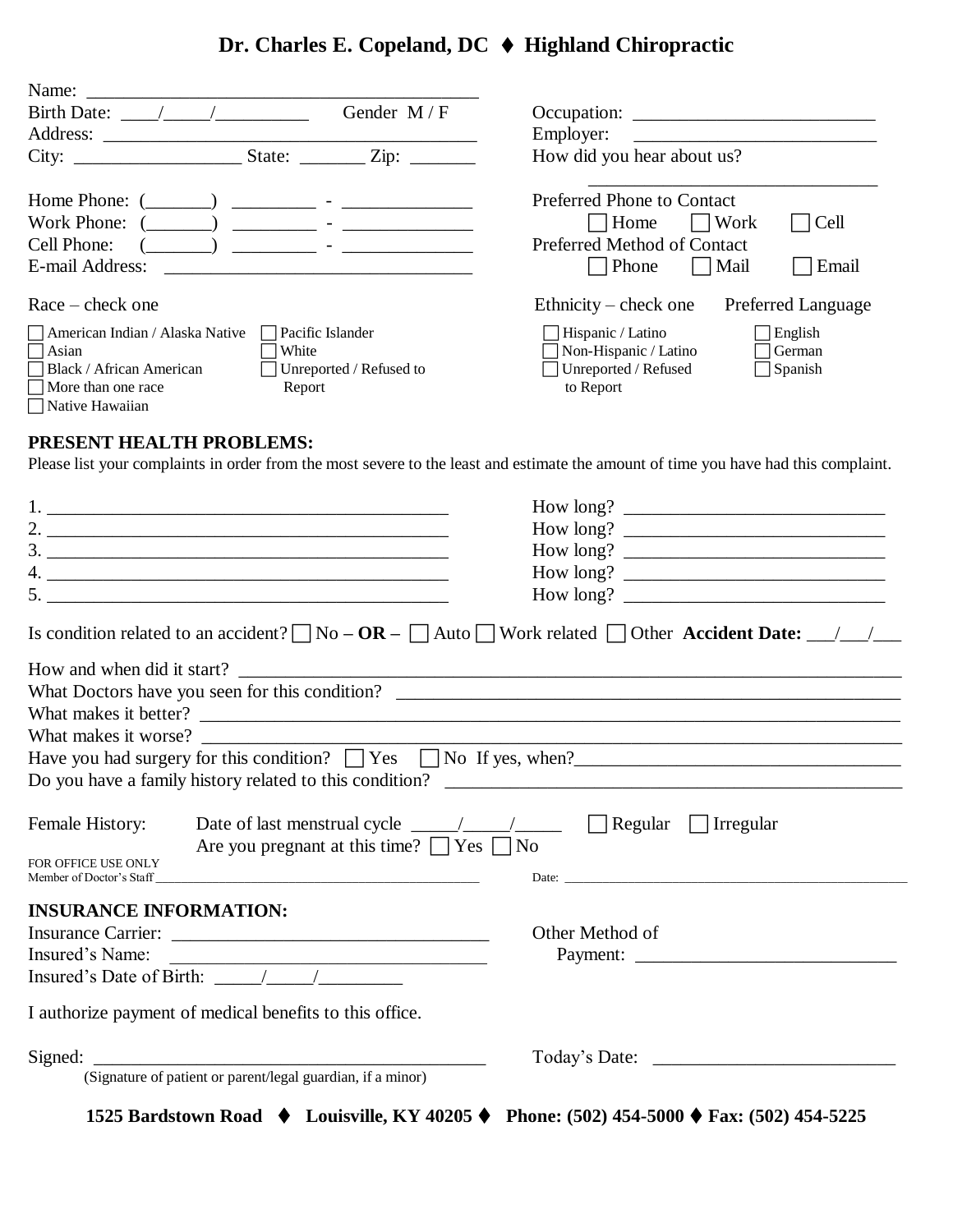# **Dr. Charles E. Copeland, DC Highland Chiropractic**

| Name: $\frac{ }{ }$                                              |                         |                                                    |
|------------------------------------------------------------------|-------------------------|----------------------------------------------------|
| Birth Date: / /                                                  | Gender $M/F$            |                                                    |
| Address:                                                         |                         | Employer:                                          |
|                                                                  | State: $\angle$ Zip:    | How did you hear about us?                         |
|                                                                  |                         | Preferred Phone to Contact                         |
|                                                                  |                         | Home<br>Work<br>Cell                               |
| Cell Phone:<br><u> 1990 - Jan Barbara Barbara, manazarta da </u> |                         | Preferred Method of Contact                        |
| E-mail Address:                                                  |                         | Email<br>  Phone<br>  Mail                         |
| $Race - check one$                                               |                         | Ethnicity – check one<br><b>Preferred Language</b> |
| Pacific Islander<br>American Indian / Alaska Native              |                         | Hispanic / Latino<br>English                       |
| White<br>  Asian                                                 |                         | Non-Hispanic / Latino<br>German                    |
| Black / African American                                         | Unreported / Refused to | Unreported / Refused<br>Spanish                    |
| $\Box$ More than one race<br>Report                              |                         | to Report                                          |
| □ Native Hawaiian                                                |                         |                                                    |

## **PRESENT HEALTH PROBLEMS:**

Please list your complaints in order from the most severe to the least and estimate the amount of time you have had this complaint.

| Is condition related to an accident? $\Box$ No $-$ OR $ \Box$ Auto $\Box$ Work related $\Box$ Other Accident Date: $\Box$                                |                 |
|----------------------------------------------------------------------------------------------------------------------------------------------------------|-----------------|
|                                                                                                                                                          |                 |
|                                                                                                                                                          |                 |
|                                                                                                                                                          |                 |
|                                                                                                                                                          |                 |
| Have you had surgery for this condition? $\Box$ Yes $\Box$ No If yes, when?                                                                              |                 |
|                                                                                                                                                          |                 |
| Date of last menstrual cycle $\frac{1}{\sqrt{1-\frac{1}{2}}}$ Regular Tregular<br>Female History:<br>Are you pregnant at this time? $\Box$ Yes $\Box$ No |                 |
| FOR OFFICE USE ONLY                                                                                                                                      |                 |
| <b>INSURANCE INFORMATION:</b>                                                                                                                            |                 |
|                                                                                                                                                          | Other Method of |
| Insured's Name:<br><u> 1989 - Jan Alexandria de Alexandria de la contrada de la contrada de la contrada de la contrada de la contrad</u>                 |                 |
| Insured's Date of Birth: $\frac{\sqrt{2}}{2}$                                                                                                            |                 |
| I authorize payment of medical benefits to this office.                                                                                                  |                 |
| Signed:<br>(Signature of patient or parent/legal guardian, if a minor)                                                                                   |                 |
|                                                                                                                                                          |                 |

**1525 Bardstown Road Louisville, KY 40205 Phone: (502) 454-5000 Fax: (502) 454-5225**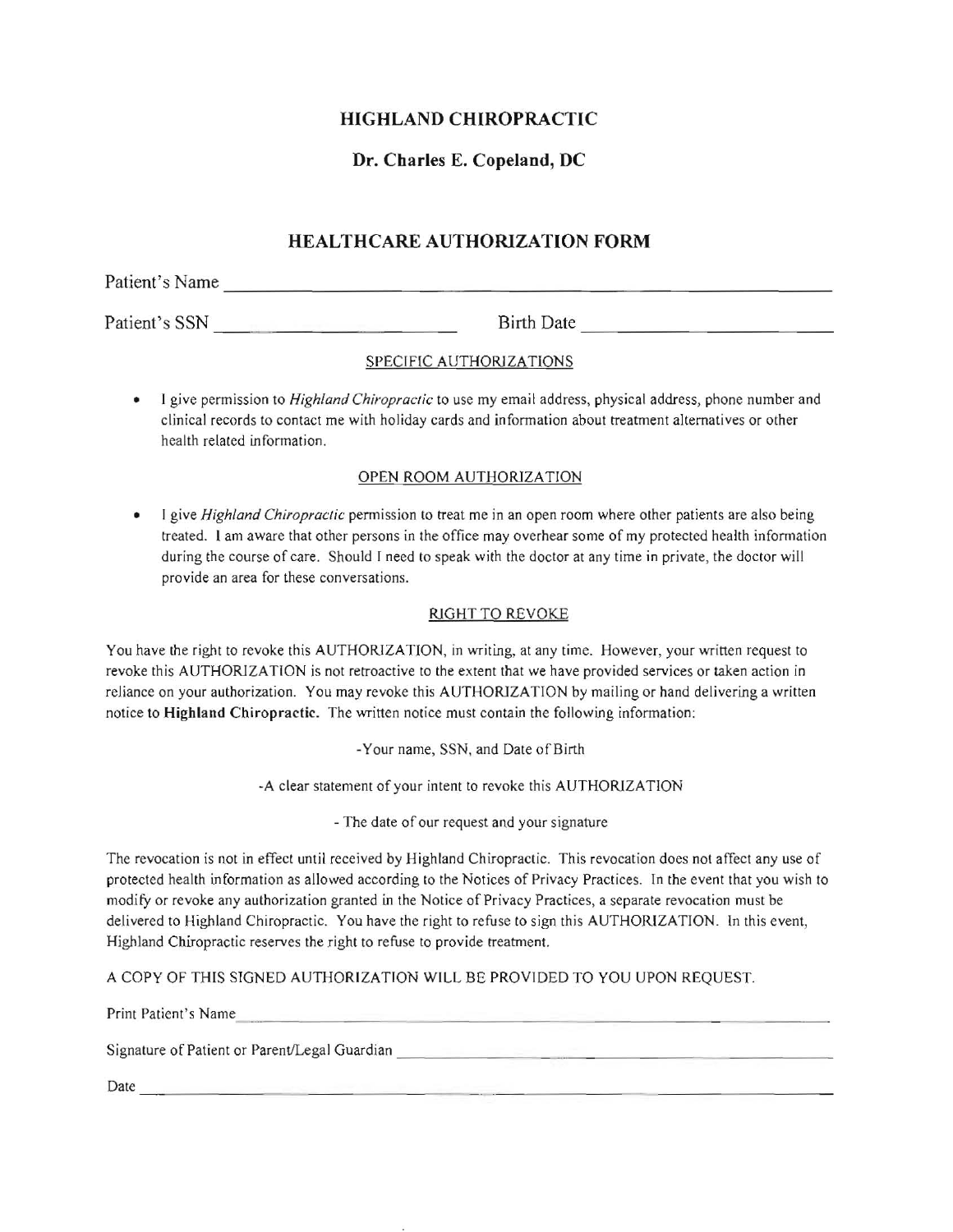## **HIGHLAND CHIROPRACTIC**

## **Dr. Charles E. Copeland, DC**

## **HEALTHCARE AUTHORIZATION FORM**

Patient's Name

Patient's SSN Birth Date

### SPECIFIC AUTHORJZATIONS

• I give pennission to *Highland Chiropractic* to use my email address, physical address, phone number and **clinical records to contact me with holiday cards and infonnation about treatment alternatives or other**  health related information.

### OPEN ROOM AUTHORJZA TION

• I give *Highland Chiropractic* permission to treat me in an open room where other patients are also being treated. I am aware that other persons in the office may overhear some of my protected health information during the course of care. Should I need to speak with the doctor at any time in private, the doctor will **provide an area for these conversations.** 

### RJGHT TO REVOKE

You have the right to revoke this AUTHORIZATION, in writing, at any time. However, your written request to revoke this AUTHORJZATION is not retroactive to the extent that we have provided services or taken action in reliance on your authorization. You may revoke this AUTHORIZATION by mailing or hand delivering a written notice to Highland Chiropractic. The written notice must contain the following information:

·Your name, SSN, and Date of Birth

·A clear statement of your intent to revoke this AUTHORJZATION

- The date of our request and your signature

**The revocation is not in effect until received by Highland Chiropractic. This revocation does not affect any use of**  protected health information as allowed according to the Notices of Privacy Practices. In the event that you wish to **modify or revoke any authorization granted in the Notice of Privacy Practices, a separate revocation must be**  delivered to Highland Chiropractic. You have the right to refuse to sign this AUTHORIZATION. In this event, Highland Chiropractic reserves the right to refuse to provide treatment.

A COpy OF THIS SIGNED AUTHORIZATION WILL BE PROVIDED TO YOU UPON REQUEST.

Print Patient's Name

 $Signature of Patient or Parent/legal Guardian$ 

 $Date \_\_$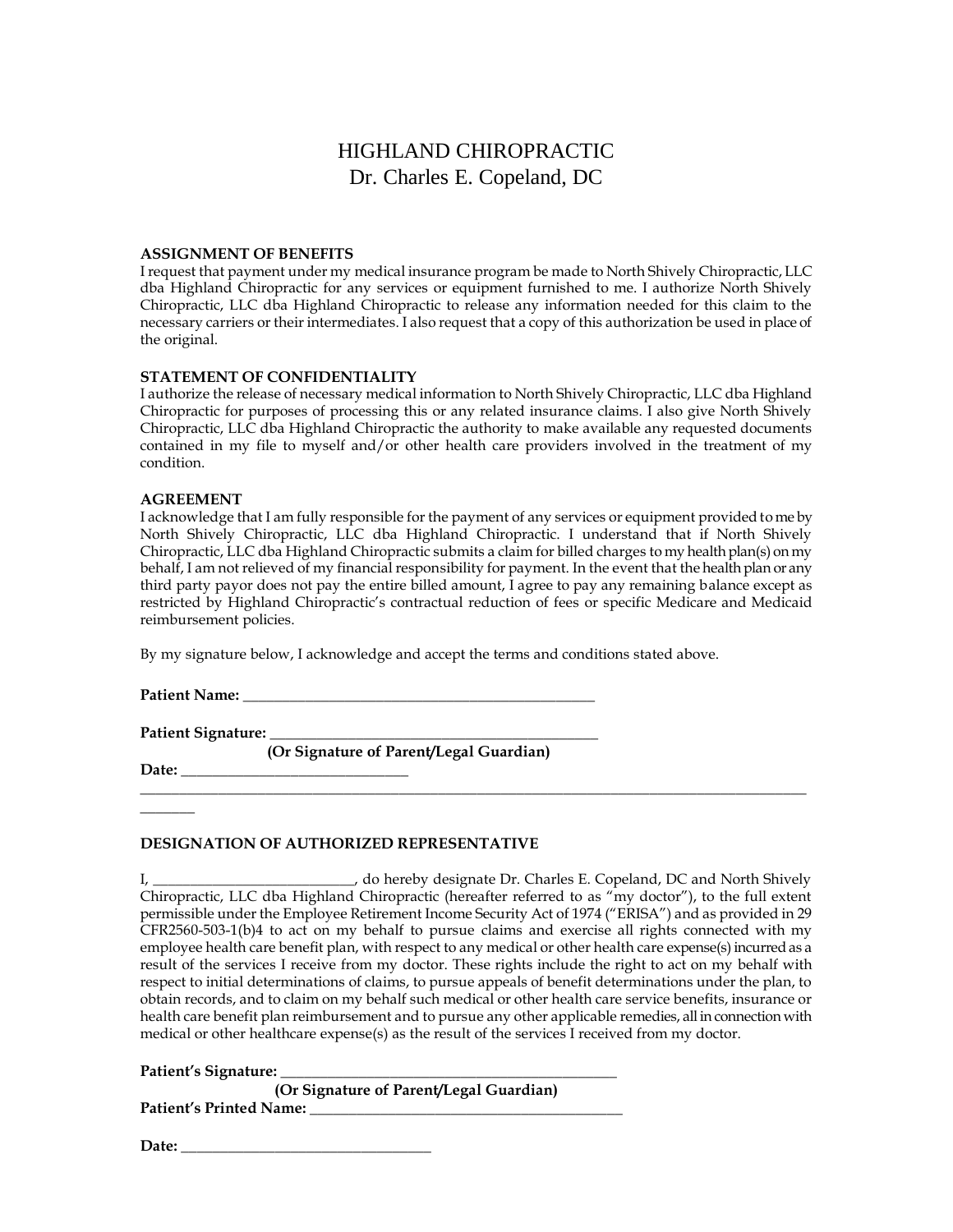#### **ASSIGNMENT OF BENEFITS**

I request that payment under my medical insurance program be made to North Shively Chiropractic, LLC dba Highland Chiropractic for any services or equipment furnished to me. I authorize North Shively Chiropractic, LLC dba Highland Chiropractic to release any information needed for this claim to the necessary carriers or their intermediates. I also request that a copy of this authorization be used in place of the original.

#### **STATEMENT OF CONFIDENTIALITY**

I authorize the release of necessary medical information to North Shively Chiropractic, LLC dba Highland Chiropractic for purposes of processing this or any related insurance claims. I also give North Shively Chiropractic, LLC dba Highland Chiropractic the authority to make available any requested documents contained in my file to myself and/or other health care providers involved in the treatment of my condition.

#### **AGREEMENT**

I acknowledge that I am fully responsible for the payment of any services or equipment provided to me by North Shively Chiropractic, LLC dba Highland Chiropractic. I understand that if North Shively Chiropractic, LLC dba Highland Chiropractic submits a claim for billed charges to my health plan(s) on my behalf, I am not relieved of my financial responsibility for payment. In the event that the health plan or any third party payor does not pay the entire billed amount, I agree to pay any remaining balance except as restricted by Highland Chiropractic's contractual reduction of fees or specific Medicare and Medicaid reimbursement policies.

By my signature below, I acknowledge and accept the terms and conditions stated above.

**Patient Name: \_\_\_\_\_\_\_\_\_\_\_\_\_\_\_\_\_\_\_\_\_\_\_\_\_\_\_\_\_\_\_\_\_\_\_\_\_\_\_\_\_\_\_\_\_**

**Patient Signature: \_\_\_\_\_\_\_\_\_\_\_\_\_\_\_\_\_\_\_\_\_\_\_\_\_\_\_\_\_\_\_\_\_\_\_\_\_\_\_\_\_\_**

 **(Or Signature of Parent/Legal Guardian)**

**Date: \_\_\_\_\_\_\_\_\_\_\_\_\_\_\_\_\_\_\_\_\_\_\_\_\_\_\_\_\_**

 $\mathcal{L}$ 

#### **DESIGNATION OF AUTHORIZED REPRESENTATIVE**

I, \_\_\_\_\_\_\_\_\_\_\_\_\_\_\_\_\_\_\_\_\_\_\_\_\_\_\_\_\_\_\_\_, do hereby designate Dr. Charles E. Copeland, DC and North Shively Chiropractic, LLC dba Highland Chiropractic (hereafter referred to as "my doctor"), to the full extent permissible under the Employee Retirement Income Security Act of 1974 ("ERISA") and as provided in 29 CFR2560-503-1(b)4 to act on my behalf to pursue claims and exercise all rights connected with my employee health care benefit plan, with respect to any medical or other health care expense(s) incurred as a result of the services I receive from my doctor. These rights include the right to act on my behalf with respect to initial determinations of claims, to pursue appeals of benefit determinations under the plan, to obtain records, and to claim on my behalf such medical or other health care service benefits, insurance or health care benefit plan reimbursement and to pursue any other applicable remedies, all in connection with medical or other healthcare expense(s) as the result of the services I received from my doctor.

 $\_$  ,  $\_$  ,  $\_$  ,  $\_$  ,  $\_$  ,  $\_$  ,  $\_$  ,  $\_$  ,  $\_$  ,  $\_$  ,  $\_$  ,  $\_$  ,  $\_$  ,  $\_$  ,  $\_$  ,  $\_$  ,  $\_$  ,  $\_$  ,  $\_$  ,  $\_$  ,  $\_$  ,  $\_$  ,  $\_$  ,  $\_$  ,  $\_$  ,  $\_$  ,  $\_$  ,  $\_$  ,  $\_$  ,  $\_$  ,  $\_$  ,  $\_$  ,  $\_$  ,  $\_$  ,  $\_$  ,  $\_$  ,  $\_$  ,

**Patient's Signature: \_\_\_\_\_\_\_\_\_\_\_\_\_\_\_\_\_\_\_\_\_\_\_\_\_\_\_\_\_\_\_\_\_\_\_\_\_\_\_\_\_\_\_**

| (Or Signature of Parent/Legal Guardian) |  |
|-----------------------------------------|--|
| Patient's Printed Name:                 |  |

**Date: \_\_\_\_\_\_\_\_\_\_\_\_\_\_\_\_\_\_\_\_\_\_\_\_\_\_\_\_\_\_\_\_**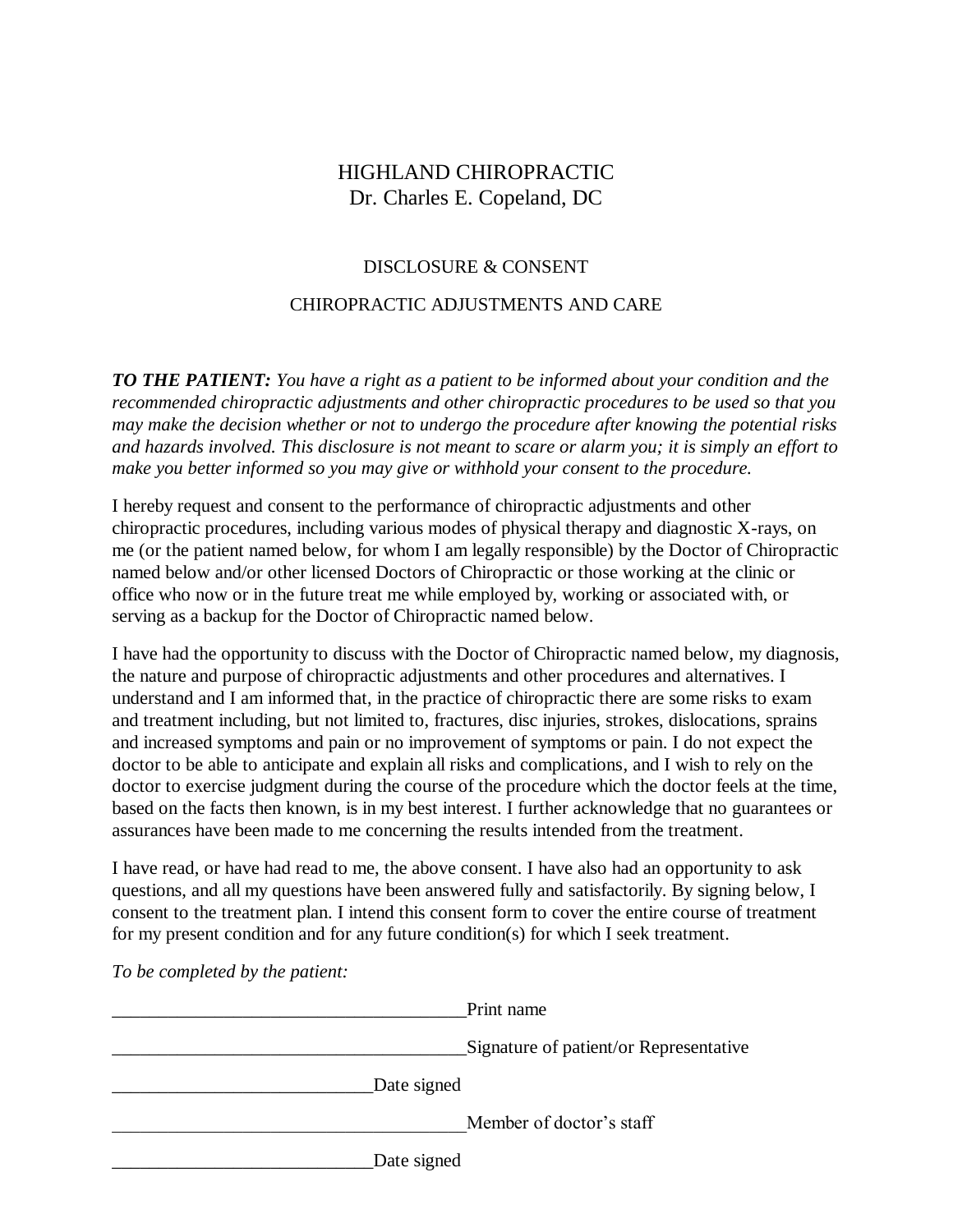### DISCLOSURE & CONSENT

### CHIROPRACTIC ADJUSTMENTS AND CARE

*TO THE PATIENT: You have a right as a patient to be informed about your condition and the recommended chiropractic adjustments and other chiropractic procedures to be used so that you may make the decision whether or not to undergo the procedure after knowing the potential risks and hazards involved. This disclosure is not meant to scare or alarm you; it is simply an effort to make you better informed so you may give or withhold your consent to the procedure.*

I hereby request and consent to the performance of chiropractic adjustments and other chiropractic procedures, including various modes of physical therapy and diagnostic X-rays, on me (or the patient named below, for whom I am legally responsible) by the Doctor of Chiropractic named below and/or other licensed Doctors of Chiropractic or those working at the clinic or office who now or in the future treat me while employed by, working or associated with, or serving as a backup for the Doctor of Chiropractic named below.

I have had the opportunity to discuss with the Doctor of Chiropractic named below, my diagnosis, the nature and purpose of chiropractic adjustments and other procedures and alternatives. I understand and I am informed that, in the practice of chiropractic there are some risks to exam and treatment including, but not limited to, fractures, disc injuries, strokes, dislocations, sprains and increased symptoms and pain or no improvement of symptoms or pain. I do not expect the doctor to be able to anticipate and explain all risks and complications, and I wish to rely on the doctor to exercise judgment during the course of the procedure which the doctor feels at the time, based on the facts then known, is in my best interest. I further acknowledge that no guarantees or assurances have been made to me concerning the results intended from the treatment.

I have read, or have had read to me, the above consent. I have also had an opportunity to ask questions, and all my questions have been answered fully and satisfactorily. By signing below, I consent to the treatment plan. I intend this consent form to cover the entire course of treatment for my present condition and for any future condition(s) for which I seek treatment.

|             | Print name                             |
|-------------|----------------------------------------|
|             | Signature of patient/or Representative |
| Date signed |                                        |
|             | Member of doctor's staff               |
| Date signed |                                        |

*To be completed by the patient:*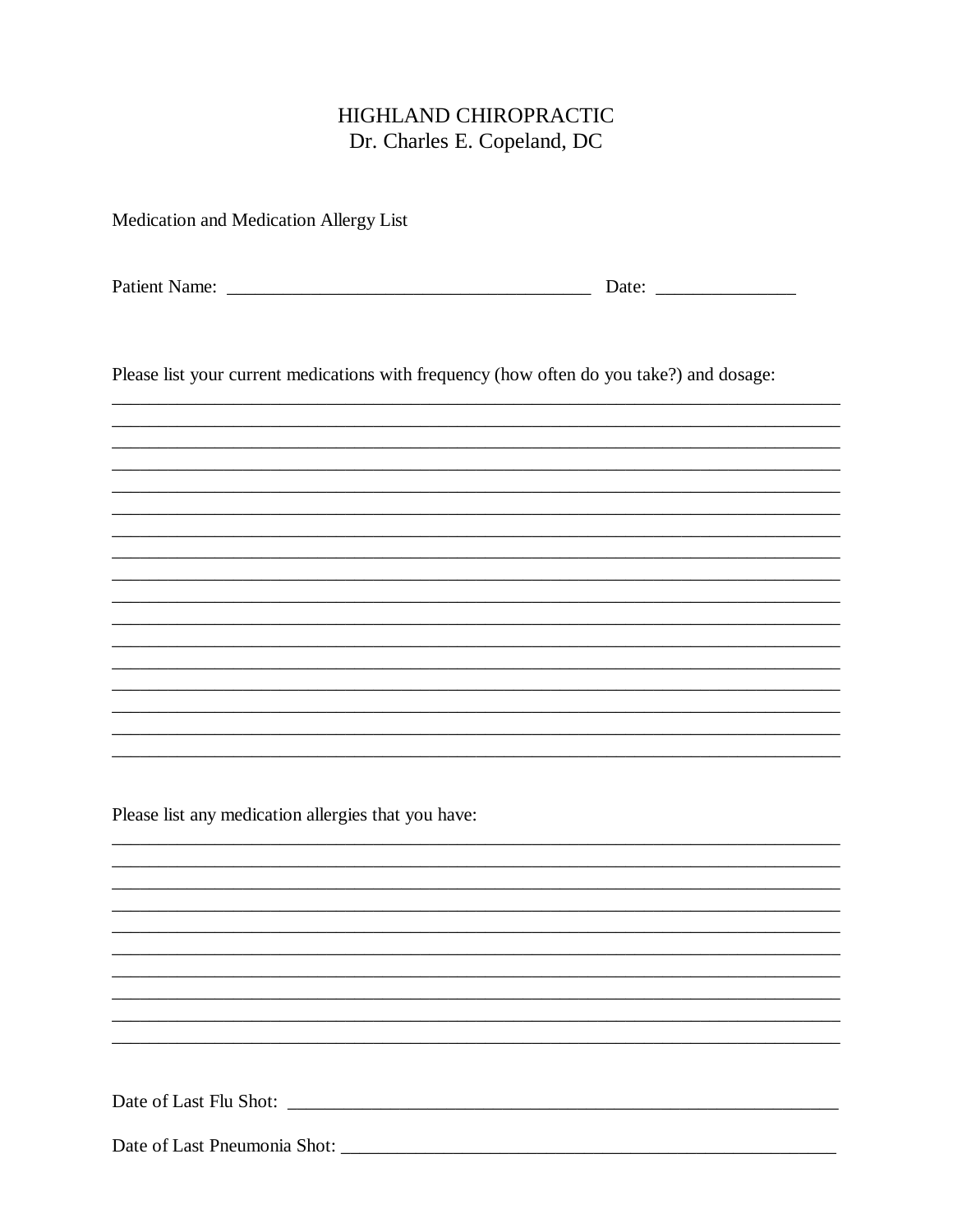Medication and Medication Allergy List

Please list your current medications with frequency (how often do you take?) and dosage:

Please list any medication allergies that you have:

Date of Last Flu Shot: Let us a series of Last Flu Shot: